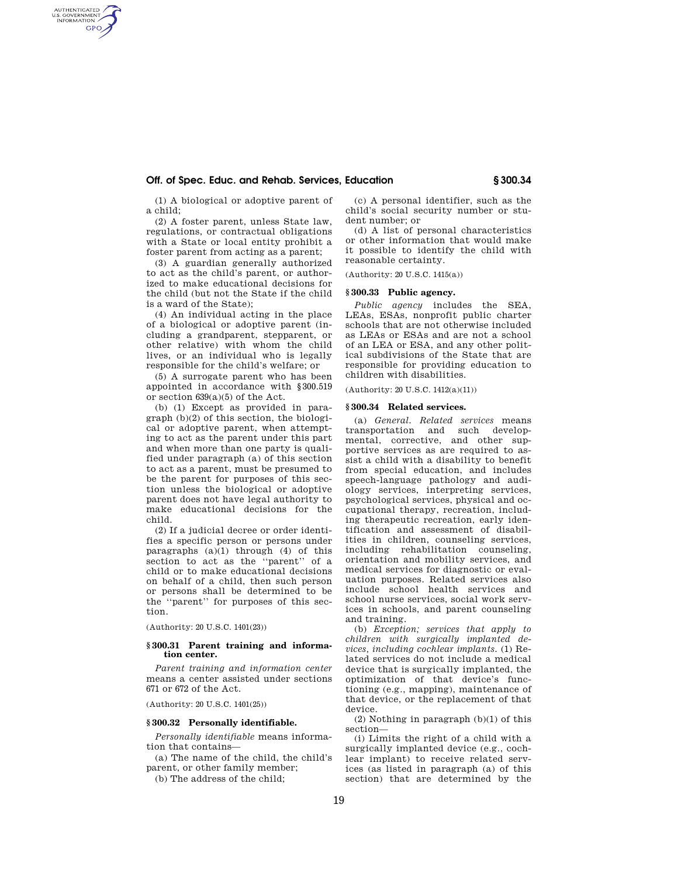# **Off. of Spec. Educ. and Rehab. Services, Education § 300.34**

(1) A biological or adoptive parent of a child;

AUTHENTICATED<br>U.S. GOVERNMENT<br>INFORMATION **GPO** 

> (2) A foster parent, unless State law, regulations, or contractual obligations with a State or local entity prohibit a foster parent from acting as a parent;

> (3) A guardian generally authorized to act as the child's parent, or authorized to make educational decisions for the child (but not the State if the child is a ward of the State);

> (4) An individual acting in the place of a biological or adoptive parent (including a grandparent, stepparent, or other relative) with whom the child lives, or an individual who is legally responsible for the child's welfare; or

> (5) A surrogate parent who has been appointed in accordance with §300.519 or section 639(a)(5) of the Act.

> (b) (1) Except as provided in paragraph (b)(2) of this section, the biological or adoptive parent, when attempting to act as the parent under this part and when more than one party is qualified under paragraph (a) of this section to act as a parent, must be presumed to be the parent for purposes of this section unless the biological or adoptive parent does not have legal authority to make educational decisions for the child.

> (2) If a judicial decree or order identifies a specific person or persons under paragraphs  $(a)(1)$  through  $(4)$  of this section to act as the ''parent'' of a child or to make educational decisions on behalf of a child, then such person or persons shall be determined to be the ''parent'' for purposes of this section.

(Authority: 20 U.S.C. 1401(23))

#### **§ 300.31 Parent training and information center.**

*Parent training and information center*  means a center assisted under sections 671 or 672 of the Act.

(Authority: 20 U.S.C. 1401(25))

# **§ 300.32 Personally identifiable.**

*Personally identifiable* means information that contains—

(a) The name of the child, the child's parent, or other family member;

(b) The address of the child;

(c) A personal identifier, such as the child's social security number or student number; or

(d) A list of personal characteristics or other information that would make it possible to identify the child with reasonable certainty.

(Authority: 20 U.S.C. 1415(a))

## **§ 300.33 Public agency.**

*Public agency* includes the SEA, LEAs, ESAs, nonprofit public charter schools that are not otherwise included as LEAs or ESAs and are not a school of an LEA or ESA, and any other political subdivisions of the State that are responsible for providing education to children with disabilities.

(Authority: 20 U.S.C. 1412(a)(11))

### **§ 300.34 Related services.**

(a) *General. Related services* means transportation and such developmental, corrective, and other supportive services as are required to assist a child with a disability to benefit from special education, and includes speech-language pathology and audiology services, interpreting services, psychological services, physical and occupational therapy, recreation, including therapeutic recreation, early identification and assessment of disabilities in children, counseling services, including rehabilitation counseling, orientation and mobility services, and medical services for diagnostic or evaluation purposes. Related services also include school health services and school nurse services, social work services in schools, and parent counseling and training.

(b) *Exception; services that apply to children with surgically implanted devices, including cochlear implants.* (1) Related services do not include a medical device that is surgically implanted, the optimization of that device's functioning (e.g., mapping), maintenance of that device, or the replacement of that device.

(2) Nothing in paragraph (b)(1) of this section—

(i) Limits the right of a child with a surgically implanted device (e.g., cochlear implant) to receive related services (as listed in paragraph (a) of this section) that are determined by the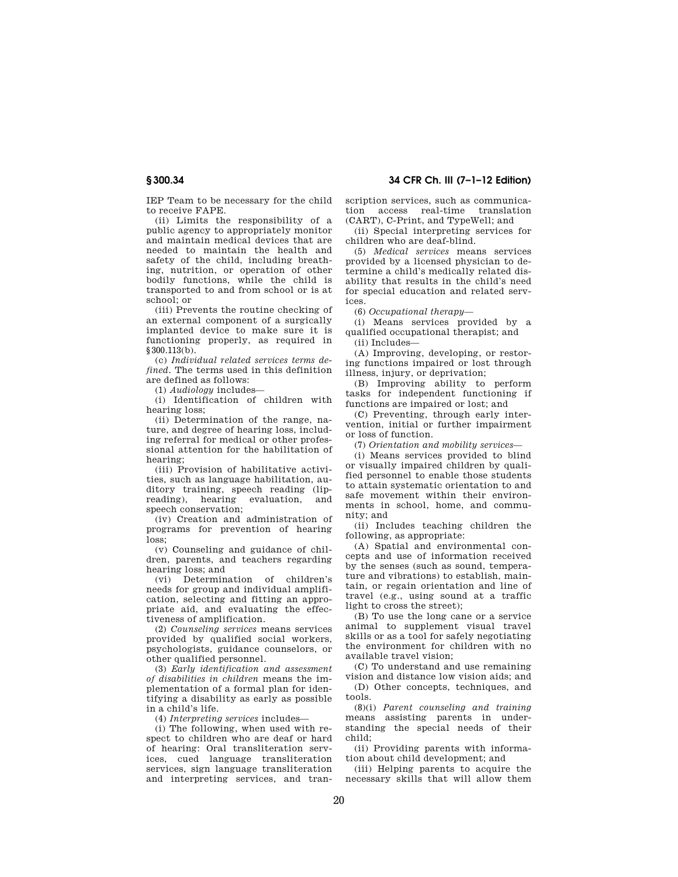IEP Team to be necessary for the child to receive FAPE.

(ii) Limits the responsibility of a public agency to appropriately monitor and maintain medical devices that are needed to maintain the health and safety of the child, including breathing, nutrition, or operation of other bodily functions, while the child is transported to and from school or is at school; or

(iii) Prevents the routine checking of an external component of a surgically implanted device to make sure it is functioning properly, as required in §300.113(b).

(c) *Individual related services terms defined.* The terms used in this definition are defined as follows:

(1) *Audiology* includes—

(i) Identification of children with hearing loss;

(ii) Determination of the range, nature, and degree of hearing loss, including referral for medical or other professional attention for the habilitation of hearing;

(iii) Provision of habilitative activities, such as language habilitation, auditory training, speech reading (lipreading), hearing evaluation, and speech conservation;

(iv) Creation and administration of programs for prevention of hearing loss;

(v) Counseling and guidance of children, parents, and teachers regarding hearing loss; and

(vi) Determination of children's needs for group and individual amplification, selecting and fitting an appropriate aid, and evaluating the effectiveness of amplification.

(2) *Counseling services* means services provided by qualified social workers, psychologists, guidance counselors, or other qualified personnel.

(3) *Early identification and assessment of disabilities in children* means the implementation of a formal plan for identifying a disability as early as possible in a child's life.

(4) *Interpreting services* includes—

(i) The following, when used with respect to children who are deaf or hard of hearing: Oral transliteration services, cued language transliteration services, sign language transliteration and interpreting services, and transcription services, such as communication access real-time translation (CART), C-Print, and TypeWell; and

(ii) Special interpreting services for children who are deaf-blind.

(5) *Medical services* means services provided by a licensed physician to determine a child's medically related disability that results in the child's need for special education and related services.

(6) *Occupational therapy*—

(i) Means services provided by a qualified occupational therapist; and

(ii) Includes—

(A) Improving, developing, or restoring functions impaired or lost through illness, injury, or deprivation;

(B) Improving ability to perform tasks for independent functioning if functions are impaired or lost; and

(C) Preventing, through early intervention, initial or further impairment or loss of function.

(7) *Orientation and mobility services*—

(i) Means services provided to blind or visually impaired children by qualified personnel to enable those students to attain systematic orientation to and safe movement within their environments in school, home, and community; and

(ii) Includes teaching children the following, as appropriate:

(A) Spatial and environmental concepts and use of information received by the senses (such as sound, temperature and vibrations) to establish, maintain, or regain orientation and line of travel (e.g., using sound at a traffic light to cross the street);

(B) To use the long cane or a service animal to supplement visual travel skills or as a tool for safely negotiating the environment for children with no available travel vision;

(C) To understand and use remaining vision and distance low vision aids; and

(D) Other concepts, techniques, and tools.

(8)(i) *Parent counseling and training*  means assisting parents in understanding the special needs of their child;

(ii) Providing parents with information about child development; and

(iii) Helping parents to acquire the necessary skills that will allow them